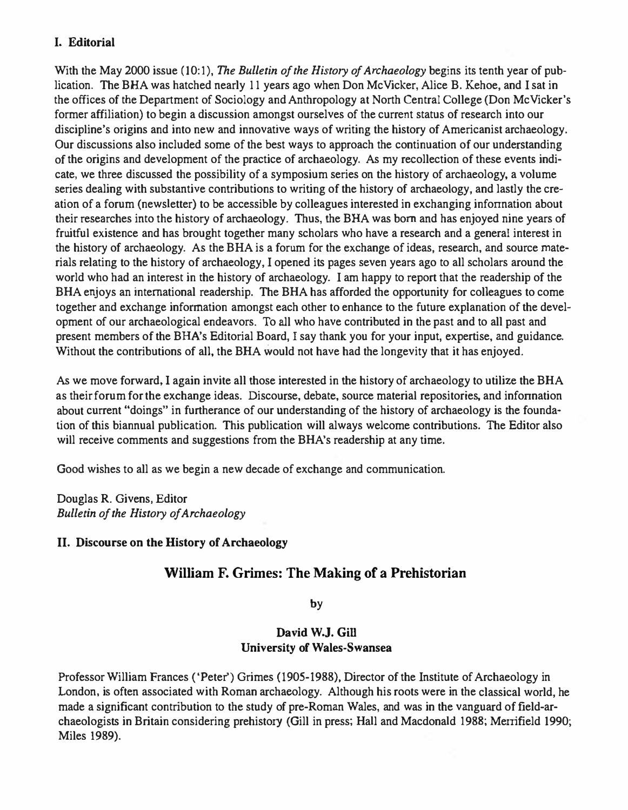# I. Editorial

With the May 2000 issue (10:1). The Bulletin of the History of Archaeology begins its tenth year of publication. The BHA was hatched nearly 11 years ago when Don McVicker, Alice B. Kehoe, and I sat in the offices of the Department of Sociology and Anthropology at North Central College (Don McVicker's former affiliation) to begin a discussion amongst ourselves of the current status of research into our discipline's origins and into new and innovative ways of writing the history of Americanist archaeology. Our discussions also included some of the best ways to approach the continuation of our understanding of the origins and development of the practice of archaeology. As my recollection of these events indicate. we three discussed the possibility of a symposium series on the history of archaeology, a volume series dealing with substantive contributions to writing of the history of archaeology, and lastly the creation of a forum (newsletter) to be accessible by colleagues interested in exchanging infonnation about their researches into the history of archaeology. Thus, the BRA was born and has enjoyed nine years of fruitful existence and has brought together many scholars who have a research and a general interest in the history of archaeology. As the BRA is a forum for the exchange of ideas, research. and source materials relating to the history of archaeology, I opened its pages seven years ago to all scholars around the world who had an interest in the history of archaeology. I am happy to report that the readership of the BHA enjoys an international readership. The BHA has afforded the opportunity for colleagues to come together and exchange infonnation amongst each other to enhance to the future explanation of the development of our archaeological endeavors. To all who have contributed in the past and to all past and present members of the BHA's Editorial Board, I say thank you for your input, expertise, and guidance. Without the contributions of all, the BHA would not have had the longevity that it has enjoyed.

As we move forward. I again invite all those interested in the history of archaeology to utilize the BRA as their forum for the exchange ideas. Discourse, debate, source material repositories, and information about current "doings" in furtherance of our understanding of the history of archaeology is the foundalion of this biannual publication. This publication will always welcome contributions. The Editor also will receive comments and suggestions from the BHA's readership at any time.

Good wishes to all as we begin a new decade of exchange and communication.

Douglas R. Givens, Editor Bulletin of the History of Archaeology

# 11. Discourse on the History of Archaeology

DOI: http://dx.doi.org/10.5334/bha.10102

# WilIiam F. Grimes: The Making of a Prehistorian

by

# David W.J. Gill University of Wales-Swansea

Professor William Frances ('Peter') Grimes (1905-1988), Director of the Institute of Archaeology in London, is often associated with Roman archaeology. Although his roots were in the classical world, he made a significant contribution to the study of pre-Roman Wales, and was in the vanguard of field-archaeologists in Britain considering prehistory (Gill in press; Hall and Macdonald 1988; Merrifield 1990; Miles 1989).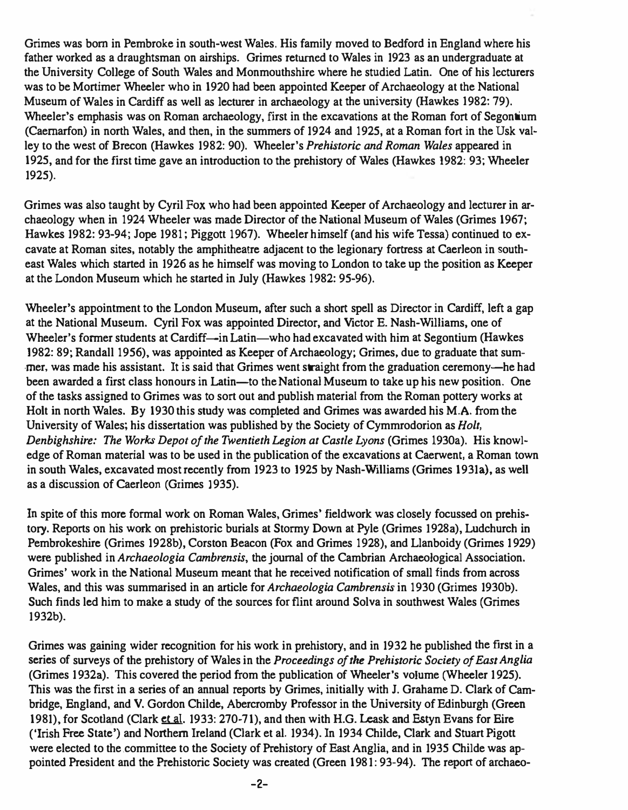Grimes was born in Pembroke in south-west Wales. His family moved to Bedford in England where his father worked as a draughtsman on airships. Grimes returned to Wales in 1923 as an undergraduate at the University ColJege of South Wales and Monmouthshire where he studied Latin. One of his lecturers was to be Mortimer Wheeler who in 1920 had been appointed Keeper of Archaeology at the National Museum of Wales in Cardiff as well as lecturer in archaeology at the university (Hawkes 1982: 79). Wheeler's emphasis was on Roman archaeology, first in the excavations at the Roman fort of Segontium (Caernarfon) in north Wales, and then, in the summers of 1924 and 1925, at a Roman fort in the Usk valley to the west of Brecon (Hawkes 1982: 90). Wheeler's Prehistoric and Roman Wales appeared in 1925, and for the first time gave an introduction to the prehistory of Wales (Hawkes 1982: 93; Wheeler 1925).

Grimes was also taught by Cyril Fox who had been appointed Keeper of Archaeology and lecturer in archaeology when in 1924 Wbeeler was made Director of the National Museum of Wales (Grimes 1967; Hawkes 1982: 93-94; Jope 1981; Piggott 1967). Wbeeler himself (and his wife Tessa) continued to excavate at Roman sites, notably the amphitheatre adjacent to the legionary fortress at Caerleon in southeast Wales which started in 1926 as he himself was moving to London to take up the position as Keeper at the London Museum which he started in July (Hawkes 1982: 95-96).

Wheeler's appointment to the London Museum, after such a short spell as Director in Cardiff, left a gap at the National Museum. Cyril Fox was appointed Director, and Victor E. Nash-Wil1iams, one of Wheeler's former students at Cardiff—in Latin—who had excavated with him at Segontium (Hawkes 1982: 89; Randall 1956), was appointed as Keeper of Archaeology; Grimes, due to graduate that summer, was made his assistant. It is said that Grimes went straight from the graduation ceremony-he had been awarded a first class honours in Latin—to the National Museum to take up his new position. One of the tasks assigned to Grimes was to sort out and publish material from the Roman pottery works at Holt in north Wales. By 1930 this study was completed and Grimes was awarded his M.A. from the University of Wales; his dissertation was published by the Society of Cymmrodorion as Holt, Denbighshire: The Works Depot of the Twentieth Legion at Castle Lyons (Grimes 1930a). His knowledge of Roman material was to be used in the publication of the excavations at Caerwent, a Roman town in south Wales, excavated most recently from 1923 to 1925 by Nash-Williams (Grimes 1931a), as well as a discussion of Caerleon (Grimes 1935).

In spite of this more formal work on Roman Wales, Grimes' fieldwork was closely focussed on prehis· tory. Reports on his work on prehistoric burials at Stormy Down at Pyle (Grimes I 928a), Ludchurch in Pembrokeshire (Grimes 1928b), Corston Beacon (Fox and Grimes 1928), and Llanboidy (Grimes 1929) were published in Archaeologia Cambrensis, the journal of the Cambrian Archaeological Association. Grimes' work in the National Museum meant that he received notification of small finds from across Wales, and this was summarised in an article for Archaeologia Cambrensis in 1930 (Grimes 1930b). Such finds led him to make a study of the sources for flint around Solva in southwest Wales (Grimes 1932b).

Grimes was gaining wider recognition for his work in prehistory, and in 1932 he published the first in a series of surveys of the prehistory of Wales in the Proceedings of the Prehistoric Society of East Anglia (Grimes 1932a). This covered the period from the publication of Wheeler's volume (Wheeler 1925). This was the first in a series of an annual reports by Grimes, initially with J. Grahame D. Clark of Cambridge, England, and V. Gordon Childe, Abercromby Professor in the University of Edinburgh (Green 1981), for Scotland (Clark et al. 1933: 270-71), and then with H.G. Leask and Estyn Evans for Eire ('Irish Free State') and Northern Ireland (Clark et al. 1934). In 1934 Childe, Clack and Stuart Pigott were elected to the committee to the Society of Prehistory of East Anglia, and in 1935 Childe was appointed President and the Prehistoric Society was created (Green 1981: 93-94). The report of archaeo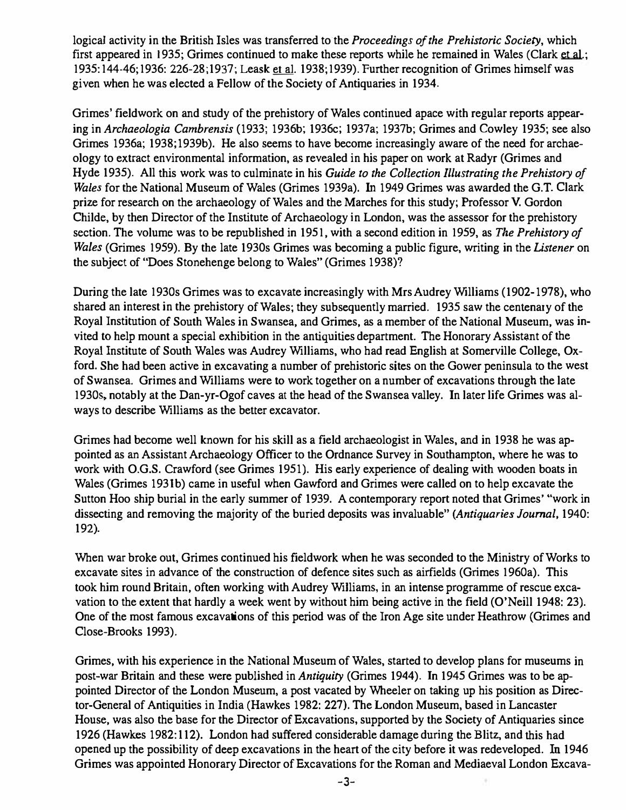logical activity in the British Isles was transferred to the *Proceedings of the Prehistoric Society*, which first appeared in 1935; Grimes continued to make these reports while he remained in Wales (Clark et al.; 1935: 144-46; 1936: 226-28; 1937; Leask et al. 1938; 1939). Further recognition of Grimes himself was gi ven when he was elected a Fellow of the Society of Antiquaries in 1934.

Grimes' fieldwork on and study of the prehistory of Wales continued apace with regular reports appearing in Archaeologia Cambrensis (1933; 1936b; 1936c; 1937a; 1937b; Grimes and Cowley 1935; see also Grimes 1936a; 1938;1939b). He also seems to have become increasingly aware of the need for archaeology to extract environmental information, as revealed in his paper on work at Radyr (Grimes and Hyde 1935). All this work was to culminate in his Guide to the Collection Illustrating the Prehistory of Wales for the National Museum of Wales (Grimes 1939a). In 1949 Grimes was awarded the G.T. Clark prize for research on the archaeology of Wales and the Marches for this study; Professor V. Gordon Childe, by then Director of the Institute of Archaeology in London, was the assessor for the prehistory section. The volume was to be republished in 1951, with a second edition in 1959, as The Prehistory of Wales (Grimes 1959). By the late 1930s Grimes was becoming a public figure, writing in the Listener on the subject of "Does Stonehenge belong to Wales" (Grimes 1938)?

During the late 1930s Grimes was to excavate increasingly with Mrs Audrey WilIiams (1902-1978), who shared an interest in the prehistory of Wales; they subsequently married. 1935 saw the centenary of the Royal Institution of South Wales in Swansea, and Grimes, as a member of the National Museum, was invited to help mount a special exhibition in the antiquities department. The Honorary Assistant of the Royal Institute of South Wales was Audrey Williams, who had read English at Somerville College, Oxford. She had been active in excavating a number of prehistoric sites on the Gower peninsula to the west of Swansea. Grimes and Williams were to work together on a number of excavations through the late 1930s, notably at the Dan-yr-Ogof caves at the head of the Swansea valley. In later life Grimes was always to describe Williams as the better excavator.

Grimes had become well known for his skill as a field archaeologist in Wales, and in 1938 he was appointed as an Assistant Archaeology Officer to the Ordnance Survey in Southampton, where he was to work with O.G.S. Crawford (see Grimes 1951). His early experience of dealing with wooden boats in Wales (Grimes 1931b) came in useful when Gawford and Grimes were called on to help excavate the Sutton Hoo ship burial in the early summer of 1939. A contemporary report noted that Grimes' "work in dissecting and removing the majority of the buried deposits was invaluable" (Antiquaries Journal, 1940: 192).

When war broke out, Grimes continued his fieldwork when he was seconded to the Ministry of Works to excavate sites in advance of the construction of defence sites such as airfields (Grimes 1960a). This took him round Britain, often working with Audrey Williams. in an intense programme of rescue excavation to the extent that hardly a week went by without him being active in the field (O'Neill 1948: 23). One of the most famous excavations of this period was of the Iron Age site under Heathrow (Grimes and Close-Brooks 1993).

Grimes, with his experience in the National Museum of Wales, started to develop plans for museums in post-war Britain and these were published in Antiquity (Grimes 1944). In 1945 Grimes was to be appointed Director of the London Museum, a post vacated by Wheeler on taking up his position as Director-General of Antiquities in India (Hawkes 1982: 227). The London Museum, based in Lancaster House, was also the base for the Director of Excavations, supported by the Society of Antiquaries since 1926 (Hawkes 1982:112). London had suffered considerable damage during the Blitz, and this had opened up the possibility of deep excavations in the heart of the city before it was redeveloped. In 1946 Grimes was appointed Honorary Director of Excavations for the Roman and Mediaeval London Excava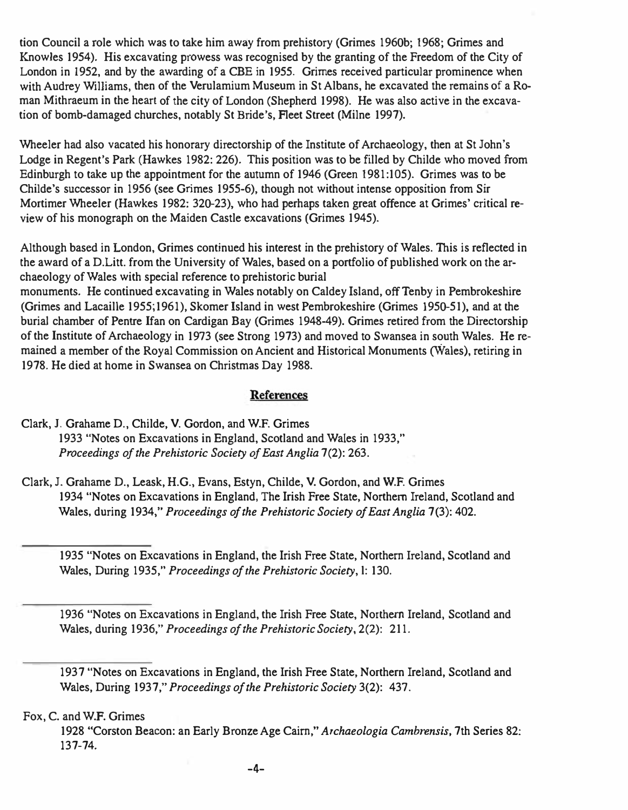tion Council a role which was to take him away from prehistory (Grimes 1960b; 1968; Grimes and Knowles 1954). His excavating prowess was recognised by the granting of the Freedom of the City of London in 1952, and by the awarding of a CBE in 1955. Grimes received particular prominence when with Audrey Williams, then of the Verulamium Museum in St Albans, he excavated the remains of a Roman Mithraeum in the heart of the city of London (Shepherd 1998). He was also active in the excavation of bomb-damaged churches, notably St Bride's, Fleet Street (Milne 1997).

Wheeler had also vacated his honorary directorship of the Institute of Archaeology, then at St John's Lodge in Regent's Park (Hawkes 1982: 226). This position was to be filled by Childe who moved from Edinburgh to take up the appointment for the autumn of 1946 (Green 1981:105). Grimes was to be Childe's successor in 1956 (see Grimes 1955-6), though not without intense opposition from Sir Mortimer Wheeler (Hawkes 1982: 320-23), who had perhaps taken great offence at Grimes' critical review of his monograph on the Maiden Castle excavations (Grimes 1945).

Although based in London, Grimes continued his interest in the prehistory of Wales. This is reflected in the award of a D.Litt. from the University of Wales, based on a portfolio of published work on the archaeology of Wales with special reference to prehistoric burial

monuments. He continued excavating in Wales notably on Caldey Island, off Tenby in Pembrokeshire (Grimes and Lacaille 1955;1961), Skomer Island in west Pembrokeshire (Grimes 1950-51), and at the burial chamber of Pentre Ifan on Cardigan Bay (Grimes 1948-49). Grimes retired from the Directorship of the Institute of Archaeology in 1973 (see Strong 1973) and moved to Swansea in south Wales. He remained a member of the Royal Commission on Ancient and Historical Monuments (Wales), retiring in 1978. He died at home in Swansea on Christmas Day 1988.

# References

# Clark,1. Grahame D., Childe, V. Gordon, and W.F. Grimes 1933 "Notes on Excavations in England, Scotland and Wales in 1933," Proceedings of the Prehistoric Society of East Anglia 7(2): 263.

Clark, J. Grahame D., Leask, H.G., Evans, Estyn, Childe, V. Gordon, and w.F. Grimes 1934 "Notes on Excavations in England, The Irish Free State, Northern Ireland, Scotland and Wales, during 1934," Proceedings of the Prehistoric Society of East Anglia 7(3): 402.

1935 "Notes on Excavations in England, the Irish Free State, Northern Ireland, Scotland and Wales, During 1935," Proceedings of the Prehistoric Society, I: 130.

1936 "Notes on Excavations in England, the Irish Free State, Northern Ireland, Scotland and Wales, during 1936," Proceedings of the Prehistoric Society, 2(2): 211.

Fox, C. and W.F. Grimes

1928 "Corston Beacon: an Early Bronze Age Cairn," Archaeologia Cambrensis, 7th Series 82: 137-74.

<sup>1937 &</sup>quot;Notes on Excavations in England, the Irish Free State, Northern Ireland, Scotland and Wales, During 1937," Proceedings of the Prehistoric Society 3(2): 437.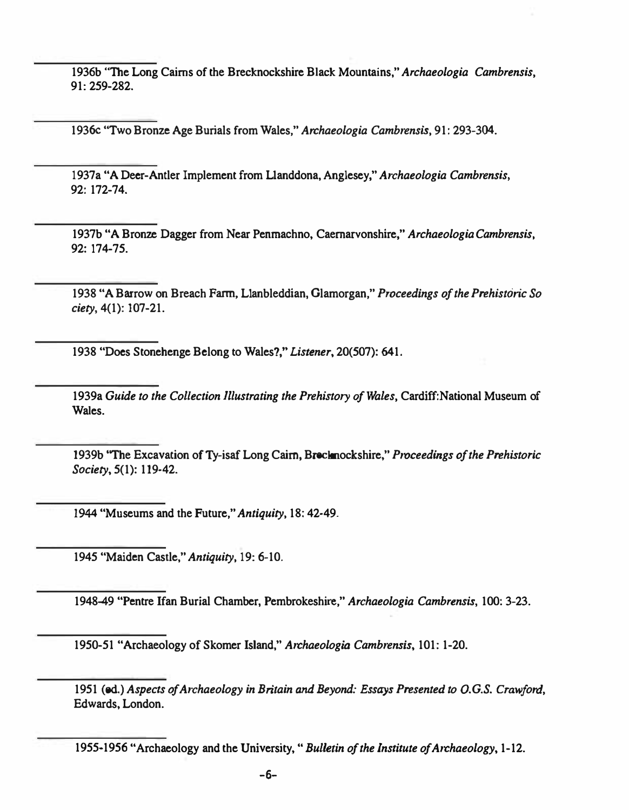1936b "The Long Cairns of the Brecknockshire Black Mountains," Archaeologia Cambrensis, 91: 259-282.

19360 "Two Bronze Age Burials from Wales," Archaeologia Cambrensis, 91: 293-304.

1937a "A Deer-Antler Implement from L1anddona, Anglesey," Archaeologia Cambrensis, 92: 172-74.

1937b "A Bronze Dagger from Near Penmachno, Caernarvonshire," Archaeologia Cambrensis, 92: 174-75.

1938 "A Barrow on Breach Farm, Llanbleddian, Glamorgan," Proceedings of the Prehistoric So ciety, 4(1): 107-21.

1938 "Does Stonehenge Belong to Wales?," Listener, 20(507): 641.

1939a Guide to the Collection Illustrating the Prehistory of Wales, Cardiff:National Museum of Wales.

1939b "The Excavation of Ty-isaf Long Cairn, Brecknockshire," Proceedings of the Prehistoric SOciety, 5(1): 119-42.

1944 "Museums and the Future," Antiquity, 18: 42-49.

1945 "Maiden Castle," Antiquity, 19: 6-10.

1948-49 "Pentre Ifan Burial Chamber, Pembrokeshire," Archaeologia Cambrensis, 100: 3-23.

1950-51 "Archaeology of Skomer Island," Archaeologia Cambrensis, 101: 1-20.

1951 (ed.) Aspects of Archaeology in Britain and Beyond: Essays Presented to O.G.S. Crawford, Edwards, London.

<sup>1955-1956 &</sup>quot;Archaeology and the University, "Bulletin of the Institute of Archaeology, 1-12.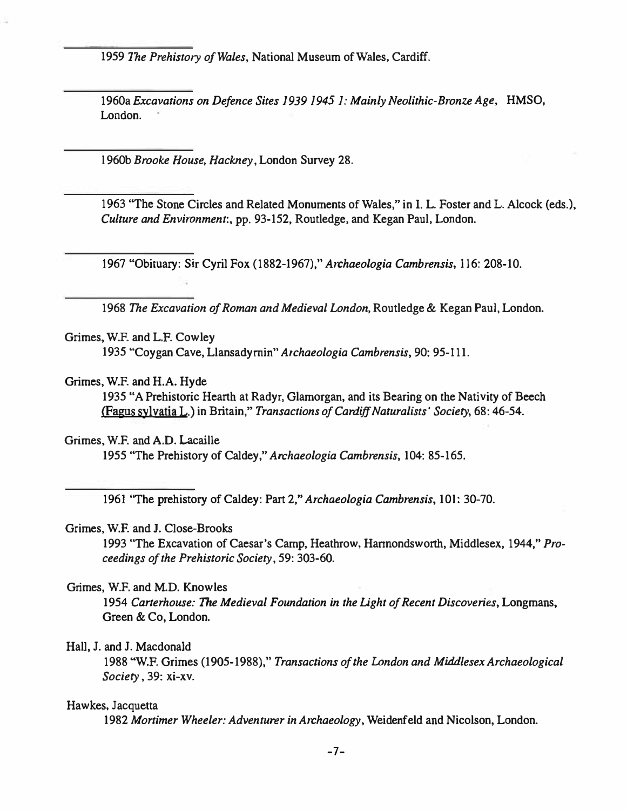1959 The Prehistory of Wales, National Museum of Wales, Cardiff.

1960a Excavations on Defence Sites 1939 1945 1: Mainly Neolithic-Bronze Age, HMSO, London.

I 960b Brooke House, Hackney. London Survey 28.

1963 ''The Stone Circles and Related Monuments of Wales," in I. L. Foster and L. Alcock (eds.). Culture and Environment:. pp. 93-152, Routledge, and Kegan Paul. London.

1967 "Obituary: Sir Cyril Fox (1882-1967)," Archaeologia Cambrensis. 116: 208-10.

1968 The Excavation of Roman and Medieval London, Routledge & Kegan Paul, London.

#### Grimes, W.F. and L.F. Cowley

1935 "Coygan Cave, L1ansadymin" Archaeologia Cambrensis, 90: 95-111.

#### Grimes, W.F. and H.A. Hyde

1935 "A Prehistoric Hearth at Radyr, Glamorgan, and its Bearing on the Nativity of Beech lFagus sylvatja L.) in Britain," Transactions of Cardiff Naturalists' Society. 68: 46-54.

#### Grimes. w.F. and A.D. Lacaille

1955 ''The Prehistory of Caldey," Archaeologia Cambrensis, 104: 85-165.

1961 "The prehistory of Caldey: Part 2," Archaeologia Cambrensis, 101: 30-70.

### Grimes, W.F. and J. Close-Brooks

1993 "The Excavation of Caesar's Camp. Heathrow, Hannondsworth, Middlesex, 1944," Proceedings of the Prehistoric Society, 59: 303-60.

#### Grimes, w.F. and M.D. Knowles

1954 Carterhouse: The Medieval Foundation in the Light of Recent Discoveries, Longmans, Green & Co, London.

#### Hall, J. and J. Macdonald

1988 "W.F. Grimes (1905-1988)," Transactions of the London and Middlesex Archaeological Society, 39: xi-xv.

#### Hawkes, Jacquetta

1982 Mortimer Wheeler: Adventurer in Archaeology, Weidenfeld and Nicolson, London.